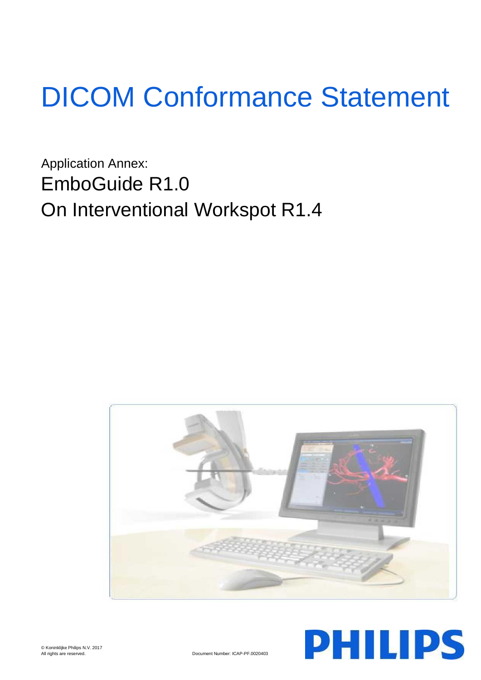# DICOM Conformance Statement

Application Annex: EmboGuide R1.0 On Interventional Workspot R1.4



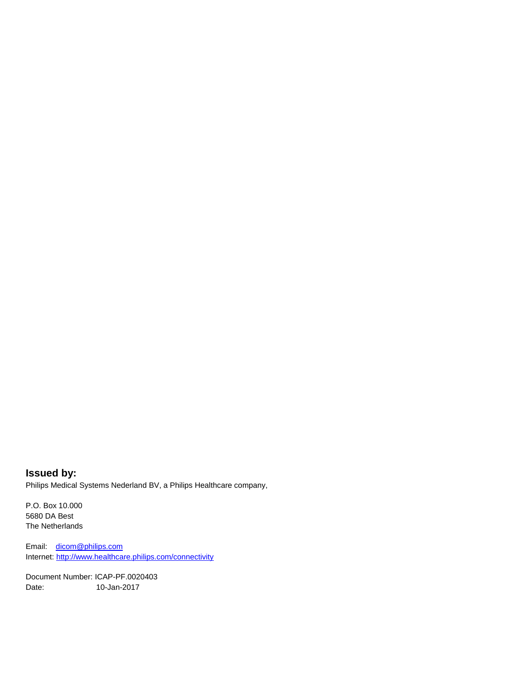**Issued by:** Philips Medical Systems Nederland BV, a Philips Healthcare company,

P.O. Box 10.000 5680 DA Best The Netherlands

Email: [dicom@philips.com](mailto:dicom@philips.com) Internet[: http://www.healthcare.philips.com/connectivity](http://www.healthcare.philips.com/connectivity)

Document Number: ICAP-PF.0020403 Date: 10-Jan-2017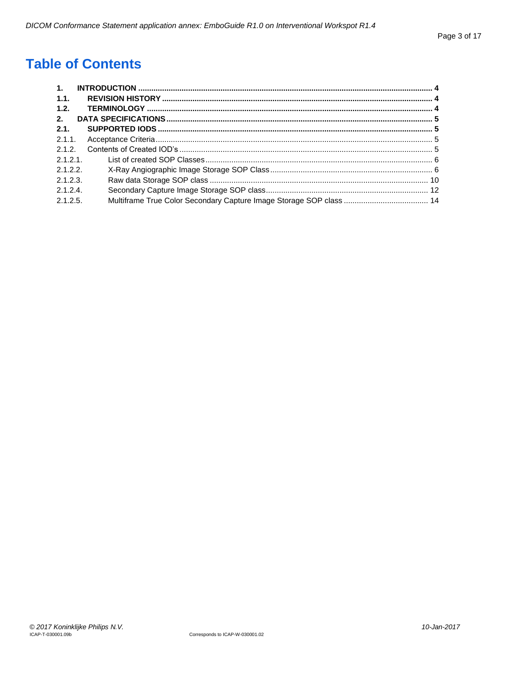# **Table of Contents**

| $\mathbf{1}$ . |  |
|----------------|--|
| 1.1.           |  |
| 1.2.           |  |
| 2.             |  |
| 2.1.           |  |
| 2.1.1.         |  |
| 2.1.2.         |  |
| 2.1.2.1        |  |
| 2.1.2.2.       |  |
| 2.1.2.3        |  |
| 2.1.2.4        |  |
| 2.1.2.5.       |  |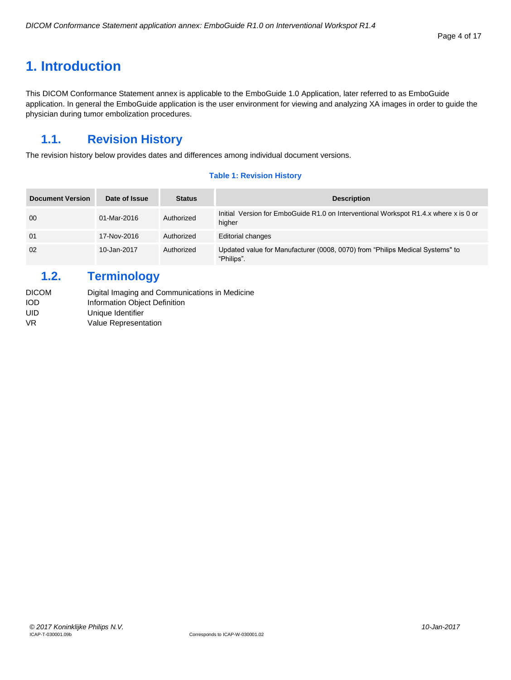## <span id="page-3-0"></span>**1. Introduction**

This DICOM Conformance Statement annex is applicable to the EmboGuide 1.0 Application, later referred to as EmboGuide application. In general the EmboGuide application is the user environment for viewing and analyzing XA images in order to guide the physician during tumor embolization procedures.

## <span id="page-3-1"></span>**1.1. Revision History**

The revision history below provides dates and differences among individual document versions.

#### **Table 1: Revision History**

| <b>Document Version</b> | Date of Issue | <b>Status</b> | <b>Description</b>                                                                             |
|-------------------------|---------------|---------------|------------------------------------------------------------------------------------------------|
| 00                      | 01-Mar-2016   | Authorized    | Initial Version for EmboGuide R1.0 on Interventional Workspot R1.4.x where x is 0 or<br>higher |
| 01                      | 17-Nov-2016   | Authorized    | <b>Editorial changes</b>                                                                       |
| 02                      | 10-Jan-2017   | Authorized    | Updated value for Manufacturer (0008, 0070) from "Philips Medical Systems" to<br>"Philips".    |

## <span id="page-3-2"></span>**1.2. Terminology**

| DICOM | Digital Imaging and Communications in Medicine |
|-------|------------------------------------------------|
| iod   | Information Object Definition                  |
| UID   | Unique Identifier                              |
| VR    | Value Representation                           |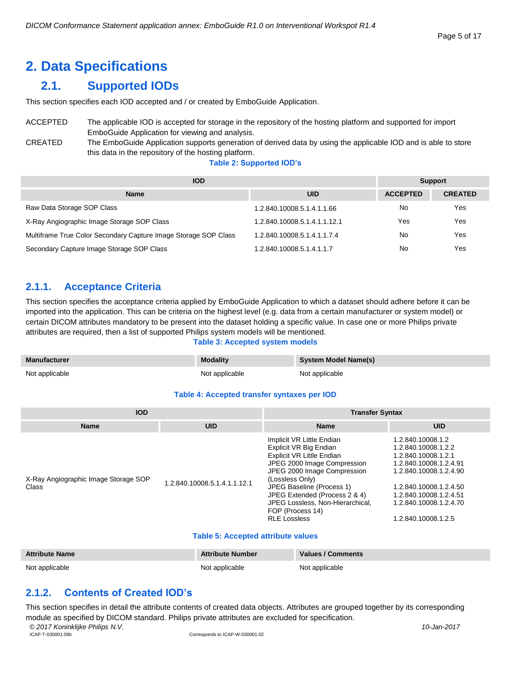# <span id="page-4-0"></span>**2. Data Specifications**

## <span id="page-4-1"></span>**2.1. Supported IODs**

This section specifies each IOD accepted and / or created by EmboGuide Application.

#### ACCEPTED The applicable IOD is accepted for storage in the repository of the hosting platform and supported for import EmboGuide Application for viewing and analysis. CREATED The EmboGuide Application supports generation of derived data by using the applicable IOD and is able to store this data in the repository of the hosting platform.

**Table 2: Supported IOD's**

| <b>IOD</b>                                                      | <b>Support</b>               |                 |                |
|-----------------------------------------------------------------|------------------------------|-----------------|----------------|
| <b>Name</b>                                                     | <b>UID</b>                   | <b>ACCEPTED</b> | <b>CREATED</b> |
| Raw Data Storage SOP Class                                      | 1.2.840.10008.5.1.4.1.1.66   | No              | Yes            |
| X-Ray Angiographic Image Storage SOP Class                      | 1.2.840.10008.5.1.4.1.1.12.1 | Yes             | Yes            |
| Multiframe True Color Secondary Capture Image Storage SOP Class | 1.2.840.10008.5.1.4.1.1.7.4  | No              | Yes            |
| Secondary Capture Image Storage SOP Class                       | 1.2.840.10008.5.1.4.1.1.7    | No              | Yes            |

## <span id="page-4-2"></span>**2.1.1. Acceptance Criteria**

This section specifies the acceptance criteria applied by EmboGuide Application to which a dataset should adhere before it can be imported into the application. This can be criteria on the highest level (e.g. data from a certain manufacturer or system model) or certain DICOM attributes mandatory to be present into the dataset holding a specific value. In case one or more Philips private attributes are required, then a list of supported Philips system models will be mentioned.

#### **Table 3: Accepted system models**

| <b>Manufacturer</b> | <b>Modality</b> | System Model Name(s) |
|---------------------|-----------------|----------------------|
| Not applicable      | Not applicable  | Not applicable       |

#### **Table 4: Accepted transfer syntaxes per IOD**

| <b>IOD</b>                                    |                              | <b>Transfer Syntax</b>                                                                                                                                                                                                                                                                                         |                                                                                                                                                                                                                          |  |  |
|-----------------------------------------------|------------------------------|----------------------------------------------------------------------------------------------------------------------------------------------------------------------------------------------------------------------------------------------------------------------------------------------------------------|--------------------------------------------------------------------------------------------------------------------------------------------------------------------------------------------------------------------------|--|--|
| <b>Name</b>                                   | <b>UID</b>                   | <b>Name</b>                                                                                                                                                                                                                                                                                                    | <b>UID</b>                                                                                                                                                                                                               |  |  |
| X-Ray Angiographic Image Storage SOP<br>Class | 1.2.840.10008.5.1.4.1.1.12.1 | Implicit VR Little Endian<br>Explicit VR Big Endian<br>Explicit VR Little Endian<br>JPEG 2000 Image Compression<br>JPEG 2000 Image Compression<br>(Lossless Only)<br>JPEG Baseline (Process 1)<br>JPEG Extended (Process 2 & 4)<br>JPEG Lossless, Non-Hierarchical.<br>FOP (Process 14)<br><b>RLE Lossless</b> | 1.2.840.10008.1.2<br>1.2.840.10008.1.2.2<br>1.2.840.10008.1.2.1<br>1.2.840.10008.1.2.4.91<br>1.2.840.10008.1.2.4.90<br>1.2.840.10008.1.2.4.50<br>1.2.840.10008.1.2.4.51<br>1.2.840.10008.1.2.4.70<br>1.2.840.10008.1.2.5 |  |  |

#### **Table 5: Accepted attribute values**

| <b>Attribute Name</b> | <b>Attribute Number</b> | Values / Comments |
|-----------------------|-------------------------|-------------------|
| Not applicable        | Not applicable          | Not applicable    |

## <span id="page-4-3"></span>**2.1.2. Contents of Created IOD's**

*© 2017 Koninklijke Philips N.V. 10-Jan-2017* This section specifies in detail the attribute contents of created data objects. Attributes are grouped together by its corresponding module as specified by DICOM standard. Philips private attributes are excluded for specification.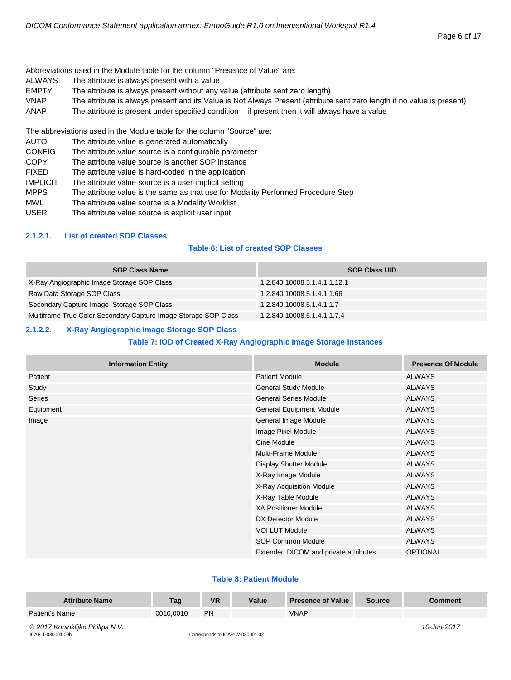Abbreviations used in the Module table for the column "Presence of Value" are:

- ALWAYS The attribute is always present with a value
- EMPTY The attribute is always present without any value (attribute sent zero length)
- VNAP The attribute is always present and its Value is Not Always Present (attribute sent zero length if no value is present)
- ANAP The attribute is present under specified condition if present then it will always have a value

The abbreviations used in the Module table for the column "Source" are:

- AUTO The attribute value is generated automatically
- CONFIG The attribute value source is a configurable parameter
- COPY The attribute value source is another SOP instance
- FIXED The attribute value is hard-coded in the application
- IMPLICIT The attribute value source is a user-implicit setting
- MPPS The attribute value is the same as that use for Modality Performed Procedure Step
- MWL The attribute value source is a Modality Worklist
- USER The attribute value source is explicit user input

#### <span id="page-5-0"></span>**2.1.2.1. List of created SOP Classes**

#### **Table 6: List of created SOP Classes**

| <b>SOP Class Name</b>                                           | <b>SOP Class UID</b>         |
|-----------------------------------------------------------------|------------------------------|
| X-Ray Angiographic Image Storage SOP Class                      | 1.2.840.10008.5.1.4.1.1.12.1 |
| Raw Data Storage SOP Class                                      | 1.2.840.10008.5.1.4.1.1.66   |
| Secondary Capture Image Storage SOP Class                       | 1.2.840.10008.5.1.4.1.1.7    |
| Multiframe True Color Secondary Capture Image Storage SOP Class | 1.2.840.10008.5.1.4.1.1.7.4  |

#### <span id="page-5-1"></span>**2.1.2.2. X-Ray Angiographic Image Storage SOP Class**

#### **Table 7: IOD of Created X-Ray Angiographic Image Storage Instances**

| <b>Information Entity</b> | <b>Module</b>                         | <b>Presence Of Module</b> |
|---------------------------|---------------------------------------|---------------------------|
| Patient                   | <b>Patient Module</b>                 | <b>ALWAYS</b>             |
| Study                     | <b>General Study Module</b>           | <b>ALWAYS</b>             |
| Series                    | <b>General Series Module</b>          | <b>ALWAYS</b>             |
| Equipment                 | <b>General Equipment Module</b>       | <b>ALWAYS</b>             |
| Image                     | General Image Module                  | <b>ALWAYS</b>             |
|                           | Image Pixel Module                    | <b>ALWAYS</b>             |
|                           | Cine Module                           | <b>ALWAYS</b>             |
|                           | Multi-Frame Module                    | <b>ALWAYS</b>             |
|                           | Display Shutter Module                | <b>ALWAYS</b>             |
|                           | X-Ray Image Module                    | <b>ALWAYS</b>             |
|                           | X-Ray Acquisition Module              | <b>ALWAYS</b>             |
|                           | X-Ray Table Module                    | <b>ALWAYS</b>             |
|                           | <b>XA Positioner Module</b>           | <b>ALWAYS</b>             |
|                           | DX Detector Module                    | <b>ALWAYS</b>             |
|                           | <b>VOI LUT Module</b>                 | <b>ALWAYS</b>             |
|                           | <b>SOP Common Module</b>              | <b>ALWAYS</b>             |
|                           | Extended DICOM and private attributes | <b>OPTIONAL</b>           |

#### **Table 8: Patient Module**

| <b>Attribute Name</b>           | Tag       | <b>VR</b> | Value | <b>Presence of Value</b> | <b>Source</b> | Comment     |
|---------------------------------|-----------|-----------|-------|--------------------------|---------------|-------------|
| Patient's Name                  | 0010.0010 | PN        |       | <b>VNAP</b>              |               |             |
| © 2017 Koninkliike Philips N.V. |           |           |       |                          |               | 10-Jan-2017 |

ICAP-T-030001.09b Corresponds to ICAP-W-030001.02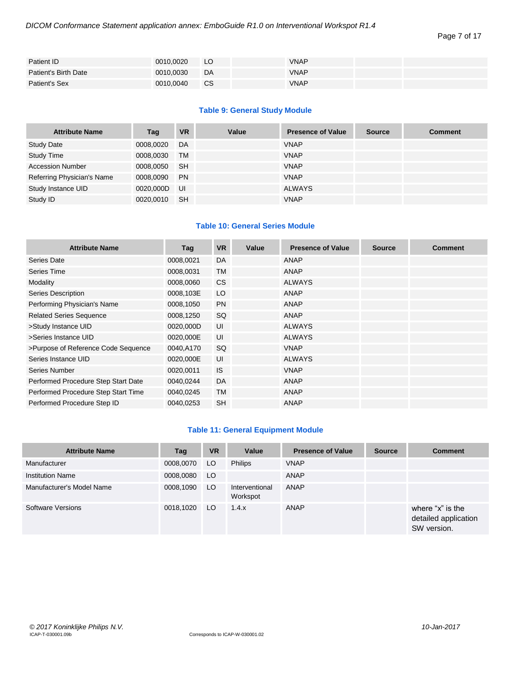| Patient ID           | 0010.0020 | LO.       | <b>VNAP</b> |  |
|----------------------|-----------|-----------|-------------|--|
| Patient's Birth Date | 0010.0030 | DA        | <b>VNAP</b> |  |
| Patient's Sex        | 0010,0040 | <b>CS</b> | <b>VNAP</b> |  |

#### **Table 9: General Study Module**

| <b>Attribute Name</b>      | Tag       | <b>VR</b> | Value | <b>Presence of Value</b> | <b>Source</b> | <b>Comment</b> |
|----------------------------|-----------|-----------|-------|--------------------------|---------------|----------------|
| <b>Study Date</b>          | 0008,0020 | DA        |       | <b>VNAP</b>              |               |                |
| <b>Study Time</b>          | 0008,0030 | <b>TM</b> |       | <b>VNAP</b>              |               |                |
| <b>Accession Number</b>    | 0008,0050 | -SH       |       | <b>VNAP</b>              |               |                |
| Referring Physician's Name | 0008.0090 | <b>PN</b> |       | <b>VNAP</b>              |               |                |
| Study Instance UID         | 0020.000D | UI        |       | <b>ALWAYS</b>            |               |                |
| Study ID                   | 0020.0010 | <b>SH</b> |       | <b>VNAP</b>              |               |                |

#### **Table 10: General Series Module**

| <b>Attribute Name</b>               | Tag       | <b>VR</b> | Value | <b>Presence of Value</b> | <b>Source</b> | <b>Comment</b> |
|-------------------------------------|-----------|-----------|-------|--------------------------|---------------|----------------|
| Series Date                         | 0008,0021 | DA        |       | ANAP                     |               |                |
| Series Time                         | 0008,0031 | <b>TM</b> |       | ANAP                     |               |                |
| Modality                            | 0008,0060 | <b>CS</b> |       | <b>ALWAYS</b>            |               |                |
| <b>Series Description</b>           | 0008,103E | LO        |       | ANAP                     |               |                |
| Performing Physician's Name         | 0008,1050 | <b>PN</b> |       | ANAP                     |               |                |
| <b>Related Series Sequence</b>      | 0008,1250 | SQ        |       | <b>ANAP</b>              |               |                |
| >Study Instance UID                 | 0020,000D | UI        |       | <b>ALWAYS</b>            |               |                |
| >Series Instance UID                | 0020,000E | UI        |       | <b>ALWAYS</b>            |               |                |
| >Purpose of Reference Code Sequence | 0040,A170 | SQ.       |       | <b>VNAP</b>              |               |                |
| Series Instance UID                 | 0020,000E | UI        |       | <b>ALWAYS</b>            |               |                |
| Series Number                       | 0020,0011 | <b>IS</b> |       | <b>VNAP</b>              |               |                |
| Performed Procedure Step Start Date | 0040,0244 | <b>DA</b> |       | ANAP                     |               |                |
| Performed Procedure Step Start Time | 0040,0245 | <b>TM</b> |       | ANAP                     |               |                |
| Performed Procedure Step ID         | 0040,0253 | <b>SH</b> |       | ANAP                     |               |                |

#### **Table 11: General Equipment Module**

| <b>Attribute Name</b>     | Tag       | <b>VR</b> | Value                      | <b>Presence of Value</b> | <b>Source</b> | <b>Comment</b>                                          |
|---------------------------|-----------|-----------|----------------------------|--------------------------|---------------|---------------------------------------------------------|
| Manufacturer              | 0008,0070 | LO        | <b>Philips</b>             | <b>VNAP</b>              |               |                                                         |
| <b>Institution Name</b>   | 0008,0080 | LO        |                            | <b>ANAP</b>              |               |                                                         |
| Manufacturer's Model Name | 0008,1090 | LO.       | Interventional<br>Workspot | ANAP                     |               |                                                         |
| Software Versions         | 0018,1020 | LO        | 1.4.x                      | <b>ANAP</b>              |               | where "x" is the<br>detailed application<br>SW version. |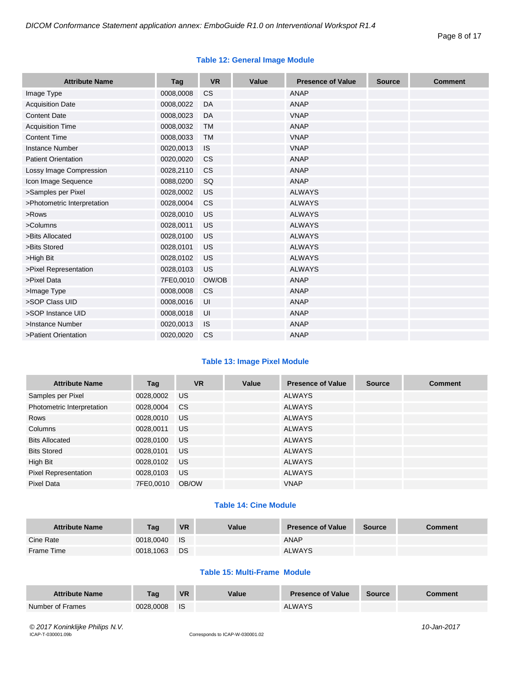#### **Table 12: General Image Module**

| <b>Attribute Name</b>       | Tag       | <b>VR</b> | Value | <b>Presence of Value</b> | <b>Source</b> | <b>Comment</b> |
|-----------------------------|-----------|-----------|-------|--------------------------|---------------|----------------|
| Image Type                  | 0008,0008 | <b>CS</b> |       | ANAP                     |               |                |
| <b>Acquisition Date</b>     | 0008,0022 | DA        |       | <b>ANAP</b>              |               |                |
| <b>Content Date</b>         | 0008,0023 | DA        |       | <b>VNAP</b>              |               |                |
| <b>Acquisition Time</b>     | 0008,0032 | <b>TM</b> |       | <b>ANAP</b>              |               |                |
| <b>Content Time</b>         | 0008,0033 | <b>TM</b> |       | <b>VNAP</b>              |               |                |
| <b>Instance Number</b>      | 0020,0013 | <b>IS</b> |       | <b>VNAP</b>              |               |                |
| <b>Patient Orientation</b>  | 0020,0020 | <b>CS</b> |       | <b>ANAP</b>              |               |                |
| Lossy Image Compression     | 0028,2110 | <b>CS</b> |       | <b>ANAP</b>              |               |                |
| Icon Image Sequence         | 0088,0200 | SQ        |       | <b>ANAP</b>              |               |                |
| >Samples per Pixel          | 0028,0002 | US        |       | <b>ALWAYS</b>            |               |                |
| >Photometric Interpretation | 0028,0004 | <b>CS</b> |       | <b>ALWAYS</b>            |               |                |
| >Rows                       | 0028,0010 | US        |       | <b>ALWAYS</b>            |               |                |
| >Columns                    | 0028,0011 | US        |       | <b>ALWAYS</b>            |               |                |
| >Bits Allocated             | 0028,0100 | US        |       | <b>ALWAYS</b>            |               |                |
| >Bits Stored                | 0028,0101 | US        |       | <b>ALWAYS</b>            |               |                |
| >High Bit                   | 0028,0102 | US        |       | <b>ALWAYS</b>            |               |                |
| >Pixel Representation       | 0028,0103 | US        |       | <b>ALWAYS</b>            |               |                |
| >Pixel Data                 | 7FE0,0010 | OW/OB     |       | <b>ANAP</b>              |               |                |
| >Image Type                 | 0008,0008 | <b>CS</b> |       | <b>ANAP</b>              |               |                |
| >SOP Class UID              | 0008,0016 | UI        |       | <b>ANAP</b>              |               |                |
| >SOP Instance UID           | 0008,0018 | UI        |       | <b>ANAP</b>              |               |                |
| >Instance Number            | 0020,0013 | IS        |       | <b>ANAP</b>              |               |                |
| >Patient Orientation        | 0020,0020 | CS        |       | <b>ANAP</b>              |               |                |

#### **Table 13: Image Pixel Module**

| <b>Attribute Name</b>       | Tag       | <b>VR</b>     | Value | <b>Presence of Value</b> | <b>Source</b> | <b>Comment</b> |
|-----------------------------|-----------|---------------|-------|--------------------------|---------------|----------------|
| Samples per Pixel           | 0028,0002 | <b>US</b>     |       | <b>ALWAYS</b>            |               |                |
| Photometric Interpretation  | 0028,0004 | <sub>CS</sub> |       | <b>ALWAYS</b>            |               |                |
| <b>Rows</b>                 | 0028,0010 | US            |       | <b>ALWAYS</b>            |               |                |
| Columns                     | 0028,0011 | <b>US</b>     |       | <b>ALWAYS</b>            |               |                |
| <b>Bits Allocated</b>       | 0028,0100 | <b>US</b>     |       | <b>ALWAYS</b>            |               |                |
| <b>Bits Stored</b>          | 0028,0101 | <b>US</b>     |       | <b>ALWAYS</b>            |               |                |
| High Bit                    | 0028,0102 | <b>US</b>     |       | <b>ALWAYS</b>            |               |                |
| <b>Pixel Representation</b> | 0028,0103 | US            |       | <b>ALWAYS</b>            |               |                |
| Pixel Data                  | 7FE0.0010 | OB/OW         |       | <b>VNAP</b>              |               |                |

#### **Table 14: Cine Module**

| <b>Attribute Name</b> | Taq       | <b>VR</b>  | Value | <b>Presence of Value</b> | <b>Source</b> | Comment |
|-----------------------|-----------|------------|-------|--------------------------|---------------|---------|
| Cine Rate             | 0018.0040 | <b>I</b> S |       | <b>ANAP</b>              |               |         |
| Frame Time            | 0018,1063 | <b>DS</b>  |       | <b>ALWAYS</b>            |               |         |

#### **Table 15: Multi-Frame Module**

| <b>Attribute Name</b> | Taq       | <b>VR</b> | Value | <b>Presence of Value</b> | Source | <b>Comment</b> |
|-----------------------|-----------|-----------|-------|--------------------------|--------|----------------|
| Number of Frames      | 0028,0008 | - IS      |       | <b>ALWAYS</b>            |        |                |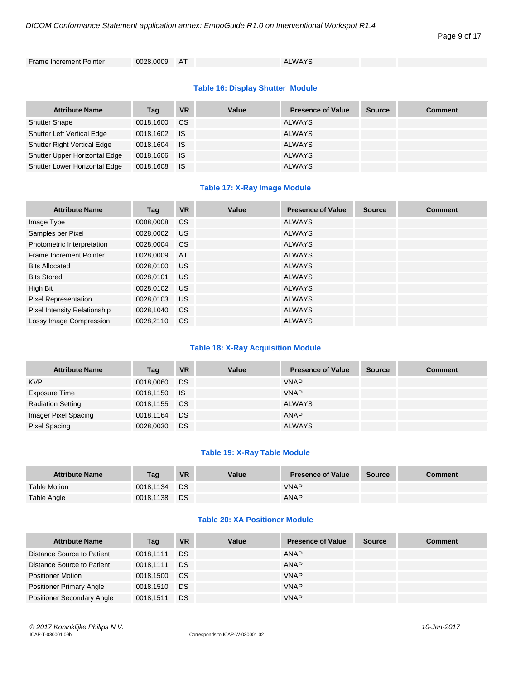#### Page 9 of 17

Frame Increment Pointer 0028,0009 AT ALWAYS

#### **Table 16: Display Shutter Module**

| <b>Attribute Name</b>              | Tag       | <b>VR</b> | Value | <b>Presence of Value</b> | <b>Source</b> | <b>Comment</b> |
|------------------------------------|-----------|-----------|-------|--------------------------|---------------|----------------|
| <b>Shutter Shape</b>               | 0018,1600 | CS.       |       | <b>ALWAYS</b>            |               |                |
| <b>Shutter Left Vertical Edge</b>  | 0018,1602 | ⊟ IS      |       | <b>ALWAYS</b>            |               |                |
| <b>Shutter Right Vertical Edge</b> | 0018,1604 | ⊟ IS      |       | <b>ALWAYS</b>            |               |                |
| Shutter Upper Horizontal Edge      | 0018,1606 | ⊟ IS      |       | <b>ALWAYS</b>            |               |                |
| Shutter Lower Horizontal Edge      | 0018,1608 | - IS      |       | <b>ALWAYS</b>            |               |                |

#### **Table 17: X-Ray Image Module**

| <b>Attribute Name</b>        | Tag       | <b>VR</b>     | Value | <b>Presence of Value</b> | <b>Source</b> | <b>Comment</b> |
|------------------------------|-----------|---------------|-------|--------------------------|---------------|----------------|
| Image Type                   | 0008,0008 | <b>CS</b>     |       | <b>ALWAYS</b>            |               |                |
| Samples per Pixel            | 0028,0002 | <b>US</b>     |       | <b>ALWAYS</b>            |               |                |
| Photometric Interpretation   | 0028.0004 | <sub>CS</sub> |       | <b>ALWAYS</b>            |               |                |
| Frame Increment Pointer      | 0028,0009 | AT            |       | <b>ALWAYS</b>            |               |                |
| <b>Bits Allocated</b>        | 0028.0100 | <b>US</b>     |       | <b>ALWAYS</b>            |               |                |
| <b>Bits Stored</b>           | 0028,0101 | <b>US</b>     |       | <b>ALWAYS</b>            |               |                |
| High Bit                     | 0028,0102 | <b>US</b>     |       | <b>ALWAYS</b>            |               |                |
| <b>Pixel Representation</b>  | 0028,0103 | US            |       | <b>ALWAYS</b>            |               |                |
| Pixel Intensity Relationship | 0028,1040 | <b>CS</b>     |       | <b>ALWAYS</b>            |               |                |
| Lossy Image Compression      | 0028.2110 | <sub>CS</sub> |       | <b>ALWAYS</b>            |               |                |

#### **Table 18: X-Ray Acquisition Module**

| <b>Attribute Name</b>    | Tag          | <b>VR</b> | Value | <b>Presence of Value</b> | <b>Source</b> | <b>Comment</b> |
|--------------------------|--------------|-----------|-------|--------------------------|---------------|----------------|
| <b>KVP</b>               | 0018,0060    | DS        |       | <b>VNAP</b>              |               |                |
| Exposure Time            | 0018,1150 IS |           |       | <b>VNAP</b>              |               |                |
| <b>Radiation Setting</b> | 0018,1155    | CS.       |       | <b>ALWAYS</b>            |               |                |
| Imager Pixel Spacing     | 0018,1164    | <b>DS</b> |       | <b>ANAP</b>              |               |                |
| <b>Pixel Spacing</b>     | 0028,0030    | DS        |       | <b>ALWAYS</b>            |               |                |

#### **Table 19: X-Ray Table Module**

| <b>Attribute Name</b> | <b>Tag</b> | <b>VR</b> | Value | <b>Presence of Value</b> | <b>Source</b> | Comment |
|-----------------------|------------|-----------|-------|--------------------------|---------------|---------|
| Table Motion          | 0018.1134  | DS        |       | <b>VNAP</b>              |               |         |
| Table Angle           | 0018.1138  | DS        |       | <b>ANAP</b>              |               |         |

#### **Table 20: XA Positioner Module**

| <b>Attribute Name</b>             | Tag       | <b>VR</b> | Value | <b>Presence of Value</b> | <b>Source</b> | <b>Comment</b> |
|-----------------------------------|-----------|-----------|-------|--------------------------|---------------|----------------|
| Distance Source to Patient        | 0018.1111 | DS        |       | <b>ANAP</b>              |               |                |
| Distance Source to Patient        | 0018.1111 | DS        |       | <b>ANAP</b>              |               |                |
| <b>Positioner Motion</b>          | 0018.1500 | <b>CS</b> |       | <b>VNAP</b>              |               |                |
| <b>Positioner Primary Angle</b>   | 0018.1510 | DS        |       | <b>VNAP</b>              |               |                |
| <b>Positioner Secondary Angle</b> | 0018.1511 | DS.       |       | <b>VNAP</b>              |               |                |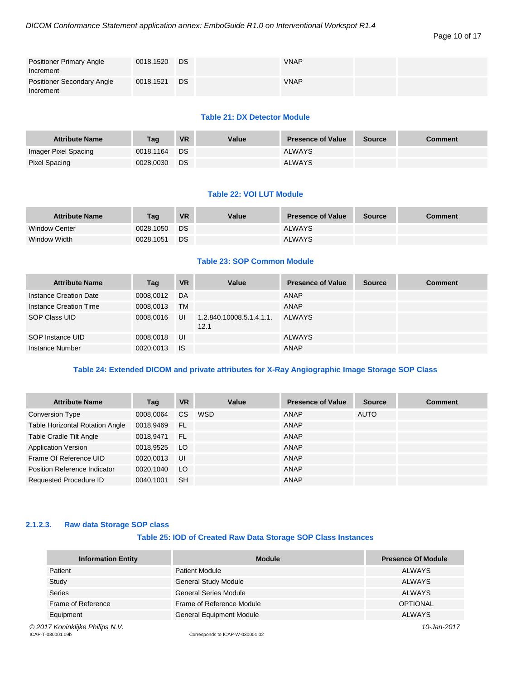| <b>Positioner Primary Angle</b><br>Increment | 0018,1520 | DS | <b>VNAP</b> |  |
|----------------------------------------------|-----------|----|-------------|--|
| Positioner Secondary Angle<br>Increment      | 0018,1521 | DS | <b>VNAP</b> |  |

#### **Table 21: DX Detector Module**

| <b>Attribute Name</b> | Taq       | <b>VR</b> | Value | <b>Presence of Value</b> | <b>Source</b> | <b>Comment</b> |
|-----------------------|-----------|-----------|-------|--------------------------|---------------|----------------|
| Imager Pixel Spacing  | 0018.1164 | DS.       |       | <b>ALWAYS</b>            |               |                |
| Pixel Spacing         | 0028,0030 | DS        |       | <b>ALWAYS</b>            |               |                |

#### **Table 22: VOI LUT Module**

| <b>Attribute Name</b> | Taq       | <b>VR</b> | Value | <b>Presence of Value</b> | <b>Source</b> | <b>Comment</b> |
|-----------------------|-----------|-----------|-------|--------------------------|---------------|----------------|
| <b>Window Center</b>  | 0028.1050 | DS.       |       | <b>ALWAYS</b>            |               |                |
| Window Width          | 0028.1051 | DS.       |       | <b>ALWAYS</b>            |               |                |

#### **Table 23: SOP Common Module**

| <b>Attribute Name</b>  | Tag       | <b>VR</b> | Value                            | <b>Presence of Value</b> | <b>Source</b> | <b>Comment</b> |
|------------------------|-----------|-----------|----------------------------------|--------------------------|---------------|----------------|
| Instance Creation Date | 0008,0012 | DA        |                                  | ANAP                     |               |                |
| Instance Creation Time | 0008,0013 | TM        |                                  | ANAP                     |               |                |
| SOP Class UID          | 0008,0016 | UI        | 1.2.840.10008.5.1.4.1.1.<br>12.1 | ALWAYS                   |               |                |
| SOP Instance UID       | 0008,0018 | UI        |                                  | ALWAYS                   |               |                |
| Instance Number        | 0020,0013 | <b>IS</b> |                                  | <b>ANAP</b>              |               |                |

#### **Table 24: Extended DICOM and private attributes for X-Ray Angiographic Image Storage SOP Class**

| <b>Attribute Name</b>                  | Tag       | <b>VR</b> | Value | <b>Presence of Value</b> | <b>Source</b> | <b>Comment</b> |
|----------------------------------------|-----------|-----------|-------|--------------------------|---------------|----------------|
| <b>Conversion Type</b>                 | 0008,0064 | <b>CS</b> | WSD   | ANAP                     | <b>AUTO</b>   |                |
| <b>Table Horizontal Rotation Angle</b> | 0018,9469 | - FL      |       | ANAP                     |               |                |
| Table Cradle Tilt Angle                | 0018,9471 | <b>FL</b> |       | ANAP                     |               |                |
| <b>Application Version</b>             | 0018,9525 | LO        |       | ANAP                     |               |                |
| Frame Of Reference UID                 | 0020,0013 | UI        |       | ANAP                     |               |                |
| Position Reference Indicator           | 0020,1040 | LO        |       | ANAP                     |               |                |
| <b>Requested Procedure ID</b>          | 0040.1001 | <b>SH</b> |       | <b>ANAP</b>              |               |                |

#### <span id="page-9-0"></span>**2.1.2.3. Raw data Storage SOP class**

#### **Table 25: IOD of Created Raw Data Storage SOP Class Instances**

| <b>Information Entity</b>       | <b>Module</b>                | <b>Presence Of Module</b> |
|---------------------------------|------------------------------|---------------------------|
| Patient                         | <b>Patient Module</b>        | <b>ALWAYS</b>             |
| Study                           | <b>General Study Module</b>  | <b>ALWAYS</b>             |
| <b>Series</b>                   | <b>General Series Module</b> | <b>ALWAYS</b>             |
| Frame of Reference              | Frame of Reference Module    | <b>OPTIONAL</b>           |
| Equipment                       | General Equipment Module     | <b>ALWAYS</b>             |
| © 2017 Koninklijke Philips N.V. |                              | 10-Jan-2017               |

COLLECTIVE FINITS IV.V.<br>ICAP-T-030001.09b Corresponds to ICAP-W-030001.02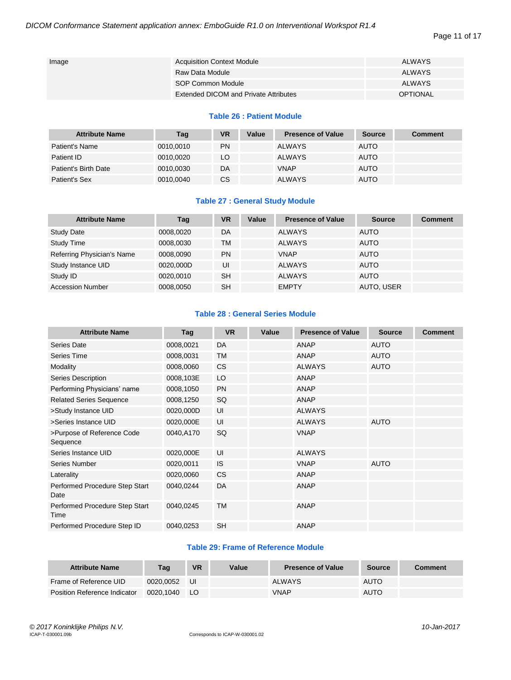| Image | <b>Acquisition Context Module</b>     | ALWAYS          |
|-------|---------------------------------------|-----------------|
|       | Raw Data Module                       | ALWAYS          |
|       | SOP Common Module                     | ALWAYS          |
|       | Extended DICOM and Private Attributes | <b>OPTIONAL</b> |

#### **Table 26 : Patient Module**

| <b>Attribute Name</b> | Tag       | <b>VR</b> | Value | <b>Presence of Value</b> | <b>Source</b> | Comment |
|-----------------------|-----------|-----------|-------|--------------------------|---------------|---------|
| Patient's Name        | 0010.0010 | <b>PN</b> |       | <b>ALWAYS</b>            | <b>AUTO</b>   |         |
| Patient ID            | 0010,0020 | LO        |       | <b>ALWAYS</b>            | <b>AUTO</b>   |         |
| Patient's Birth Date  | 0010.0030 | DA        |       | <b>VNAP</b>              | <b>AUTO</b>   |         |
| Patient's Sex         | 0010,0040 | CS        |       | <b>ALWAYS</b>            | <b>AUTO</b>   |         |

#### **Table 27 : General Study Module**

| <b>Attribute Name</b>      | Tag       | <b>VR</b> | Value | <b>Presence of Value</b> | <b>Source</b> | <b>Comment</b> |
|----------------------------|-----------|-----------|-------|--------------------------|---------------|----------------|
| <b>Study Date</b>          | 0008.0020 | DA        |       | <b>ALWAYS</b>            | <b>AUTO</b>   |                |
| <b>Study Time</b>          | 0008.0030 | <b>TM</b> |       | <b>ALWAYS</b>            | <b>AUTO</b>   |                |
| Referring Physician's Name | 0008.0090 | <b>PN</b> |       | <b>VNAP</b>              | <b>AUTO</b>   |                |
| Study Instance UID         | 0020,000D | UI        |       | <b>ALWAYS</b>            | <b>AUTO</b>   |                |
| Study ID                   | 0020,0010 | <b>SH</b> |       | <b>ALWAYS</b>            | <b>AUTO</b>   |                |
| <b>Accession Number</b>    | 0008.0050 | <b>SH</b> |       | <b>EMPTY</b>             | AUTO, USER    |                |

#### **Table 28 : General Series Module**

| <b>Attribute Name</b>                  | Tag       | <b>VR</b> | Value | <b>Presence of Value</b> | <b>Source</b> | <b>Comment</b> |
|----------------------------------------|-----------|-----------|-------|--------------------------|---------------|----------------|
| Series Date                            | 0008,0021 | DA        |       | ANAP                     | <b>AUTO</b>   |                |
| Series Time                            | 0008,0031 | <b>TM</b> |       | <b>ANAP</b>              | <b>AUTO</b>   |                |
| Modality                               | 0008,0060 | <b>CS</b> |       | <b>ALWAYS</b>            | <b>AUTO</b>   |                |
| Series Description                     | 0008,103E | LO        |       | <b>ANAP</b>              |               |                |
| Performing Physicians' name            | 0008,1050 | <b>PN</b> |       | <b>ANAP</b>              |               |                |
| <b>Related Series Sequence</b>         | 0008,1250 | SQ        |       | <b>ANAP</b>              |               |                |
| >Study Instance UID                    | 0020,000D | UI        |       | <b>ALWAYS</b>            |               |                |
| >Series Instance UID                   | 0020,000E | UI        |       | <b>ALWAYS</b>            | <b>AUTO</b>   |                |
| >Purpose of Reference Code<br>Sequence | 0040,A170 | SQ        |       | <b>VNAP</b>              |               |                |
| Series Instance UID                    | 0020,000E | UI        |       | <b>ALWAYS</b>            |               |                |
| Series Number                          | 0020,0011 | IS.       |       | <b>VNAP</b>              | <b>AUTO</b>   |                |
| Laterality                             | 0020,0060 | <b>CS</b> |       | <b>ANAP</b>              |               |                |
| Performed Procedure Step Start<br>Date | 0040,0244 | DA        |       | <b>ANAP</b>              |               |                |
| Performed Procedure Step Start<br>Time | 0040,0245 | <b>TM</b> |       | <b>ANAP</b>              |               |                |
| Performed Procedure Step ID            | 0040,0253 | <b>SH</b> |       | <b>ANAP</b>              |               |                |

#### **Table 29: Frame of Reference Module**

| <b>Attribute Name</b>        | Taq       | <b>VR</b> | Value | <b>Presence of Value</b> | <b>Source</b> | Comment |
|------------------------------|-----------|-----------|-------|--------------------------|---------------|---------|
| Frame of Reference UID       | 0020.0052 | UI        |       | <b>ALWAYS</b>            | <b>AUTO</b>   |         |
| Position Reference Indicator | 0020.1040 | LO.       |       | <b>VNAP</b>              | <b>AUTO</b>   |         |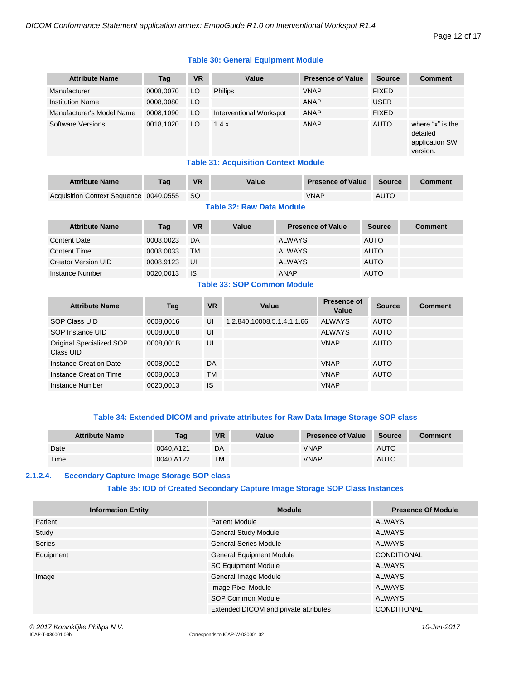#### Page 12 of 17

#### **Table 30: General Equipment Module**

| <b>Attribute Name</b>     | Tag       | <b>VR</b> | Value                   | <b>Presence of Value</b> | <b>Source</b> | <b>Comment</b>                                             |
|---------------------------|-----------|-----------|-------------------------|--------------------------|---------------|------------------------------------------------------------|
| Manufacturer              | 0008,0070 | LO.       | <b>Philips</b>          | <b>VNAP</b>              | <b>FIXED</b>  |                                                            |
| <b>Institution Name</b>   | 0008.0080 | LO.       |                         | <b>ANAP</b>              | <b>USER</b>   |                                                            |
| Manufacturer's Model Name | 0008,1090 | LO        | Interventional Workspot | ANAP                     | <b>FIXED</b>  |                                                            |
| <b>Software Versions</b>  | 0018.1020 | LO        | 1.4.x                   | <b>ANAP</b>              | <b>AUTO</b>   | where "x" is the<br>detailed<br>application SW<br>version. |

#### **Table 31: Acquisition Context Module**

| <b>Attribute Name</b>                  | Taq | <b>VR</b> | Value | <b>Presence of Value</b> | Source | Comment |
|----------------------------------------|-----|-----------|-------|--------------------------|--------|---------|
| Acquisition Context Sequence 0040,0555 |     | <b>SQ</b> |       | VNAP                     | AUTO   |         |

#### **Table 32: Raw Data Module**

| <b>Attribute Name</b>      | Tag       | <b>VR</b> | Value | <b>Presence of Value</b> | <b>Source</b> | Comment |
|----------------------------|-----------|-----------|-------|--------------------------|---------------|---------|
| Content Date               | 0008,0023 | DA        |       | <b>ALWAYS</b>            | <b>AUTO</b>   |         |
| <b>Content Time</b>        | 0008,0033 | <b>TM</b> |       | <b>ALWAYS</b>            | <b>AUTO</b>   |         |
| <b>Creator Version UID</b> | 0008.9123 | UI        |       | <b>ALWAYS</b>            | <b>AUTO</b>   |         |
| Instance Number            | 0020,0013 | <b>IS</b> |       | <b>ANAP</b>              | <b>AUTO</b>   |         |

### **Table 33: SOP Common Module**

| <b>Attribute Name</b>                 | Tag       | <b>VR</b> | Value                      | Presence of<br>Value | <b>Source</b> | <b>Comment</b> |
|---------------------------------------|-----------|-----------|----------------------------|----------------------|---------------|----------------|
| SOP Class UID                         | 0008,0016 | UI        | 1.2.840.10008.5.1.4.1.1.66 | <b>ALWAYS</b>        | <b>AUTO</b>   |                |
| SOP Instance UID                      | 0008,0018 | UI        |                            | <b>ALWAYS</b>        | <b>AUTO</b>   |                |
| Original Specialized SOP<br>Class UID | 0008.001B | UI        |                            | <b>VNAP</b>          | <b>AUTO</b>   |                |
| Instance Creation Date                | 0008,0012 | DA        |                            | <b>VNAP</b>          | <b>AUTO</b>   |                |
| <b>Instance Creation Time</b>         | 0008,0013 | ТM        |                            | <b>VNAP</b>          | <b>AUTO</b>   |                |
| Instance Number                       | 0020.0013 | IS        |                            | <b>VNAP</b>          |               |                |

#### **Table 34: Extended DICOM and private attributes for Raw Data Image Storage SOP class**

| <b>Attribute Name</b> | Tag       | <b>VR</b> | Value | <b>Presence of Value</b> | <b>Source</b> | Comment |
|-----------------------|-----------|-----------|-------|--------------------------|---------------|---------|
| Date                  | 0040.A121 | DA        |       | VNAP                     | <b>AUTO</b>   |         |
| Time                  | 0040.A122 | <b>TM</b> |       | VNAP                     | <b>AUTO</b>   |         |

#### <span id="page-11-0"></span>**2.1.2.4. Secondary Capture Image Storage SOP class**

#### **Table 35: IOD of Created Secondary Capture Image Storage SOP Class Instances**

| <b>Information Entity</b> | <b>Module</b>                         | <b>Presence Of Module</b> |
|---------------------------|---------------------------------------|---------------------------|
| Patient                   | <b>Patient Module</b>                 | ALWAYS                    |
| Study                     | <b>General Study Module</b>           | ALWAYS                    |
| Series                    | <b>General Series Module</b>          | ALWAYS                    |
| Equipment                 | <b>General Equipment Module</b>       | CONDITIONAL               |
|                           | <b>SC Equipment Module</b>            | ALWAYS                    |
| Image                     | General Image Module                  | ALWAYS                    |
|                           | Image Pixel Module                    | ALWAYS                    |
|                           | SOP Common Module                     | <b>ALWAYS</b>             |
|                           | Extended DICOM and private attributes | <b>CONDITIONAL</b>        |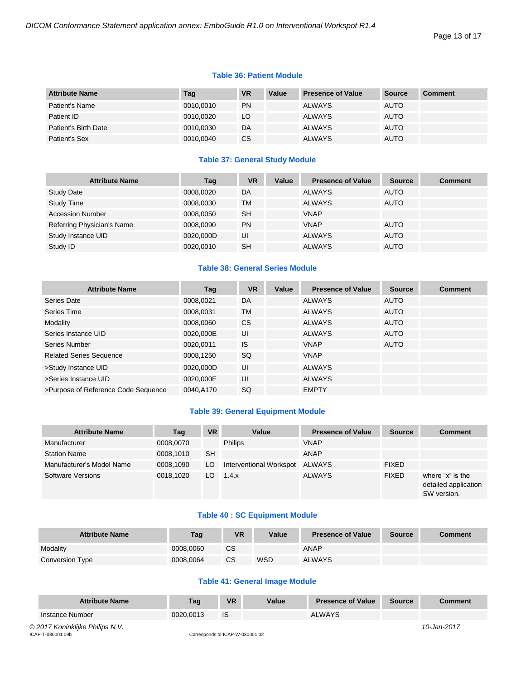#### Page 13 of 17

#### **Table 36: Patient Module**

| <b>Attribute Name</b> | Tag       | <b>VR</b> | Value | <b>Presence of Value</b> | Source      | <b>Comment</b> |
|-----------------------|-----------|-----------|-------|--------------------------|-------------|----------------|
| Patient's Name        | 0010,0010 | <b>PN</b> |       | <b>ALWAYS</b>            | <b>AUTO</b> |                |
| Patient ID            | 0010.0020 | LO        |       | <b>ALWAYS</b>            | <b>AUTO</b> |                |
| Patient's Birth Date  | 0010.0030 | DA        |       | <b>ALWAYS</b>            | <b>AUTO</b> |                |
| Patient's Sex         | 0010,0040 | CS.       |       | <b>ALWAYS</b>            | <b>AUTO</b> |                |

#### **Table 37: General Study Module**

| <b>Attribute Name</b>      | Tag       | VR        | Value | <b>Presence of Value</b> | <b>Source</b> | <b>Comment</b> |
|----------------------------|-----------|-----------|-------|--------------------------|---------------|----------------|
| <b>Study Date</b>          | 0008,0020 | DA        |       | <b>ALWAYS</b>            | <b>AUTO</b>   |                |
| <b>Study Time</b>          | 0008,0030 | TM        |       | <b>ALWAYS</b>            | <b>AUTO</b>   |                |
| <b>Accession Number</b>    | 0008,0050 | <b>SH</b> |       | <b>VNAP</b>              |               |                |
| Referring Physician's Name | 0008.0090 | <b>PN</b> |       | <b>VNAP</b>              | <b>AUTO</b>   |                |
| Study Instance UID         | 0020,000D | UI        |       | <b>ALWAYS</b>            | <b>AUTO</b>   |                |
| Study ID                   | 0020,0010 | <b>SH</b> |       | <b>ALWAYS</b>            | <b>AUTO</b>   |                |

#### **Table 38: General Series Module**

| <b>Attribute Name</b>               | Tag       | <b>VR</b> | Value | <b>Presence of Value</b> | <b>Source</b> | <b>Comment</b> |
|-------------------------------------|-----------|-----------|-------|--------------------------|---------------|----------------|
| Series Date                         | 0008,0021 | DA        |       | <b>ALWAYS</b>            | <b>AUTO</b>   |                |
| Series Time                         | 0008,0031 | <b>TM</b> |       | <b>ALWAYS</b>            | <b>AUTO</b>   |                |
| Modality                            | 0008,0060 | <b>CS</b> |       | <b>ALWAYS</b>            | <b>AUTO</b>   |                |
| Series Instance UID                 | 0020,000E | UI        |       | <b>ALWAYS</b>            | <b>AUTO</b>   |                |
| Series Number                       | 0020,0011 | <b>IS</b> |       | <b>VNAP</b>              | <b>AUTO</b>   |                |
| <b>Related Series Sequence</b>      | 0008,1250 | SQ        |       | <b>VNAP</b>              |               |                |
| >Study Instance UID                 | 0020,000D | UI        |       | <b>ALWAYS</b>            |               |                |
| >Series Instance UID                | 0020.000E | UI        |       | <b>ALWAYS</b>            |               |                |
| >Purpose of Reference Code Sequence | 0040.A170 | <b>SQ</b> |       | <b>EMPTY</b>             |               |                |

#### **Table 39: General Equipment Module**

| <b>Attribute Name</b>     | Tag       | <b>VR</b> | Value                   | <b>Presence of Value</b> | <b>Source</b> | <b>Comment</b>                                          |
|---------------------------|-----------|-----------|-------------------------|--------------------------|---------------|---------------------------------------------------------|
| Manufacturer              | 0008,0070 |           | <b>Philips</b>          | <b>VNAP</b>              |               |                                                         |
| <b>Station Name</b>       | 0008.1010 | <b>SH</b> |                         | <b>ANAP</b>              |               |                                                         |
| Manufacturer's Model Name | 0008,1090 | LO.       | Interventional Workspot | ALWAYS                   | <b>FIXED</b>  |                                                         |
| Software Versions         | 0018.1020 | LO.       | 1.4.x                   | <b>ALWAYS</b>            | <b>FIXED</b>  | where "x" is the<br>detailed application<br>SW version. |

#### **Table 40 : SC Equipment Module**

| <b>Attribute Name</b> | Tag       | <b>VR</b> | Value      | <b>Presence of Value</b> | Source | <b>Comment</b> |
|-----------------------|-----------|-----------|------------|--------------------------|--------|----------------|
| Modality              | 0008.0060 | CS        |            | ANAP                     |        |                |
| Conversion Type       | 0008.0064 | <b>CS</b> | <b>WSD</b> | <b>ALWAYS</b>            |        |                |

#### **Table 41: General Image Module**

| <b>Attribute Name</b>           | Taq       | <b>VR</b> | Value | <b>Presence of Value</b> | <b>Source</b> | Comment     |
|---------------------------------|-----------|-----------|-------|--------------------------|---------------|-------------|
| Instance Number                 | 0020.0013 | <b>IS</b> |       | <b>ALWAYS</b>            |               |             |
| © 2017 Koninklijke Philips N.V. |           |           |       |                          |               | 10-Jan-2017 |

ICAP-T-030001.09b Corresponds to ICAP-W-030001.02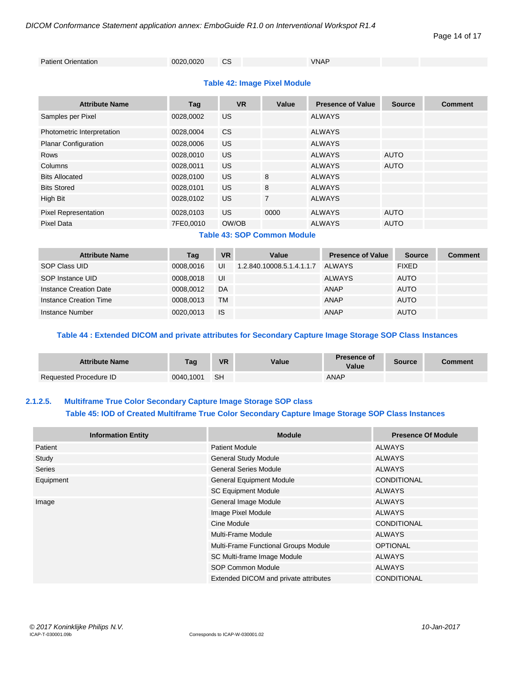Page 14 of 17

```
Patient Orientation 0020,0020 CS VNAP
```
#### **Table 42: Image Pixel Module**

| <b>Attribute Name</b>       | Tag       | <b>VR</b> | Value          | <b>Presence of Value</b> | <b>Source</b> | <b>Comment</b> |
|-----------------------------|-----------|-----------|----------------|--------------------------|---------------|----------------|
| Samples per Pixel           | 0028,0002 | <b>US</b> |                | <b>ALWAYS</b>            |               |                |
| Photometric Interpretation  | 0028,0004 | <b>CS</b> |                | <b>ALWAYS</b>            |               |                |
| <b>Planar Configuration</b> | 0028,0006 | <b>US</b> |                | <b>ALWAYS</b>            |               |                |
| <b>Rows</b>                 | 0028,0010 | <b>US</b> |                | <b>ALWAYS</b>            | <b>AUTO</b>   |                |
| Columns                     | 0028,0011 | US.       |                | <b>ALWAYS</b>            | <b>AUTO</b>   |                |
| <b>Bits Allocated</b>       | 0028,0100 | US.       | 8              | <b>ALWAYS</b>            |               |                |
| <b>Bits Stored</b>          | 0028,0101 | US.       | 8              | <b>ALWAYS</b>            |               |                |
| High Bit                    | 0028,0102 | <b>US</b> | $\overline{7}$ | <b>ALWAYS</b>            |               |                |
| <b>Pixel Representation</b> | 0028,0103 | US.       | 0000           | <b>ALWAYS</b>            | <b>AUTO</b>   |                |
| <b>Pixel Data</b>           | 7FE0,0010 | OW/OB     |                | <b>ALWAYS</b>            | <b>AUTO</b>   |                |

#### **Table 43: SOP Common Module**

| <b>Attribute Name</b>  | Tag       | <b>VR</b> | Value                     | <b>Presence of Value</b> | <b>Source</b> | <b>Comment</b> |
|------------------------|-----------|-----------|---------------------------|--------------------------|---------------|----------------|
| SOP Class UID          | 0008.0016 | UI        | 1.2.840.10008.5.1.4.1.1.7 | ALWAYS                   | <b>FIXED</b>  |                |
| SOP Instance UID       | 0008.0018 | UI        |                           | <b>ALWAYS</b>            | <b>AUTO</b>   |                |
| Instance Creation Date | 0008.0012 | DA        |                           | <b>ANAP</b>              | <b>AUTO</b>   |                |
| Instance Creation Time | 0008.0013 | <b>TM</b> |                           | <b>ANAP</b>              | <b>AUTO</b>   |                |
| Instance Number        | 0020.0013 | <b>IS</b> |                           | <b>ANAP</b>              | <b>AUTO</b>   |                |

#### **Table 44 : Extended DICOM and private attributes for Secondary Capture Image Storage SOP Class Instances**

| <b>Attribute Name</b>  | Tag       | <b>VR</b> | Value | <b>Presence of</b><br>Value | <b>Source</b> | Comment |
|------------------------|-----------|-----------|-------|-----------------------------|---------------|---------|
| Requested Procedure ID | 0040.1001 | -SH       |       | ANAP                        |               |         |

#### <span id="page-13-0"></span>**2.1.2.5. Multiframe True Color Secondary Capture Image Storage SOP class**

#### **Table 45: IOD of Created Multiframe True Color Secondary Capture Image Storage SOP Class Instances**

| <b>Information Entity</b> | <b>Module</b>                         | <b>Presence Of Module</b> |
|---------------------------|---------------------------------------|---------------------------|
| Patient                   | <b>Patient Module</b>                 | <b>ALWAYS</b>             |
| Study                     | <b>General Study Module</b>           | <b>ALWAYS</b>             |
| <b>Series</b>             | <b>General Series Module</b>          | <b>ALWAYS</b>             |
| Equipment                 | <b>General Equipment Module</b>       | <b>CONDITIONAL</b>        |
|                           | <b>SC Equipment Module</b>            | <b>ALWAYS</b>             |
| Image                     | General Image Module                  | <b>ALWAYS</b>             |
|                           | Image Pixel Module                    | ALWAYS                    |
|                           | Cine Module                           | <b>CONDITIONAL</b>        |
|                           | Multi-Frame Module                    | <b>ALWAYS</b>             |
|                           | Multi-Frame Functional Groups Module  | <b>OPTIONAL</b>           |
|                           | SC Multi-frame Image Module           | <b>ALWAYS</b>             |
|                           | SOP Common Module                     | <b>ALWAYS</b>             |
|                           | Extended DICOM and private attributes | <b>CONDITIONAL</b>        |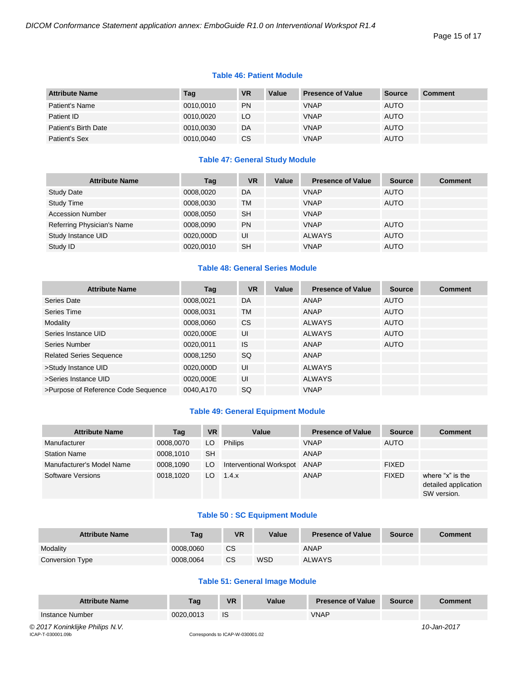#### Page 15 of 17

#### **Table 46: Patient Module**

| <b>Attribute Name</b> | Tag       | <b>VR</b> | Value | <b>Presence of Value</b> | <b>Source</b> | <b>Comment</b> |
|-----------------------|-----------|-----------|-------|--------------------------|---------------|----------------|
| Patient's Name        | 0010,0010 | <b>PN</b> |       | <b>VNAP</b>              | <b>AUTO</b>   |                |
| Patient ID            | 0010,0020 | LO        |       | <b>VNAP</b>              | <b>AUTO</b>   |                |
| Patient's Birth Date  | 0010,0030 | DA        |       | <b>VNAP</b>              | <b>AUTO</b>   |                |
| Patient's Sex         | 0010,0040 | <b>CS</b> |       | <b>VNAP</b>              | <b>AUTO</b>   |                |

#### **Table 47: General Study Module**

| <b>Attribute Name</b>      | Tag       | <b>VR</b> | Value | <b>Presence of Value</b> | <b>Source</b> | <b>Comment</b> |
|----------------------------|-----------|-----------|-------|--------------------------|---------------|----------------|
| <b>Study Date</b>          | 0008,0020 | DA        |       | <b>VNAP</b>              | <b>AUTO</b>   |                |
| <b>Study Time</b>          | 0008,0030 | <b>TM</b> |       | <b>VNAP</b>              | <b>AUTO</b>   |                |
| <b>Accession Number</b>    | 0008,0050 | <b>SH</b> |       | <b>VNAP</b>              |               |                |
| Referring Physician's Name | 0008,0090 | <b>PN</b> |       | <b>VNAP</b>              | <b>AUTO</b>   |                |
| Study Instance UID         | 0020,000D | UI        |       | <b>ALWAYS</b>            | <b>AUTO</b>   |                |
| Study ID                   | 0020,0010 | <b>SH</b> |       | <b>VNAP</b>              | <b>AUTO</b>   |                |

#### **Table 48: General Series Module**

| <b>Attribute Name</b>               | Tag       | <b>VR</b>     | Value | <b>Presence of Value</b> | <b>Source</b> | <b>Comment</b> |
|-------------------------------------|-----------|---------------|-------|--------------------------|---------------|----------------|
| Series Date                         | 0008,0021 | DA            |       | ANAP                     | <b>AUTO</b>   |                |
| Series Time                         | 0008,0031 | <b>TM</b>     |       | <b>ANAP</b>              | <b>AUTO</b>   |                |
| Modality                            | 0008,0060 | <sub>CS</sub> |       | <b>ALWAYS</b>            | <b>AUTO</b>   |                |
| Series Instance UID                 | 0020,000E | UI            |       | <b>ALWAYS</b>            | <b>AUTO</b>   |                |
| Series Number                       | 0020,0011 | <b>IS</b>     |       | <b>ANAP</b>              | <b>AUTO</b>   |                |
| <b>Related Series Sequence</b>      | 0008,1250 | SQ            |       | <b>ANAP</b>              |               |                |
| >Study Instance UID                 | 0020,000D | UI            |       | <b>ALWAYS</b>            |               |                |
| >Series Instance UID                | 0020,000E | UI            |       | <b>ALWAYS</b>            |               |                |
| >Purpose of Reference Code Sequence | 0040.A170 | <b>SQ</b>     |       | <b>VNAP</b>              |               |                |

#### **Table 49: General Equipment Module**

| <b>Attribute Name</b>     | Tag       | <b>VR</b> | Value                   | <b>Presence of Value</b> | <b>Source</b> | <b>Comment</b>                                          |
|---------------------------|-----------|-----------|-------------------------|--------------------------|---------------|---------------------------------------------------------|
| Manufacturer              | 0008,0070 | LO        | <b>Philips</b>          | <b>VNAP</b>              | <b>AUTO</b>   |                                                         |
| <b>Station Name</b>       | 0008.1010 | <b>SH</b> |                         | <b>ANAP</b>              |               |                                                         |
| Manufacturer's Model Name | 0008.1090 | LO.       | Interventional Workspot | ANAP                     | <b>FIXED</b>  |                                                         |
| Software Versions         | 0018.1020 | LO.       | 1.4.x                   | ANAP                     | <b>FIXED</b>  | where "x" is the<br>detailed application<br>SW version. |

#### **Table 50 : SC Equipment Module**

| <b>Attribute Name</b>  | Tag       | <b>VR</b> | Value      | <b>Presence of Value</b> | <b>Source</b> | <b>Comment</b> |
|------------------------|-----------|-----------|------------|--------------------------|---------------|----------------|
| Modality               | 0008.0060 | <b>CS</b> |            | ANAP                     |               |                |
| <b>Conversion Type</b> | 0008.0064 | CS        | <b>WSD</b> | <b>ALWAYS</b>            |               |                |

#### **Table 51: General Image Module**

| <b>Attribute Name</b>           | Taq       | <b>VR</b> | Value | <b>Presence of Value</b> | <b>Source</b> | Comment     |
|---------------------------------|-----------|-----------|-------|--------------------------|---------------|-------------|
| Instance Number                 | 0020.0013 | <b>IS</b> |       | <b>VNAP</b>              |               |             |
| © 2017 Koninklijke Philips N.V. |           |           |       |                          |               | 10-Jan-2017 |

ICAP-T-030001.09b Corresponds to ICAP-W-030001.02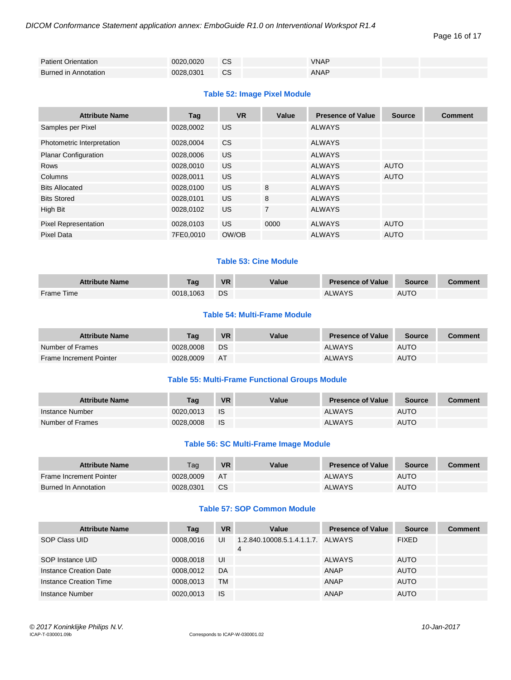Page 16 of 17

| <b>Patient Orientation</b>  | 0020.0020 | <b>CS</b> | <b>VNAP</b> |  |
|-----------------------------|-----------|-----------|-------------|--|
| <b>Burned in Annotation</b> | 0028.0301 | CS        | ANAP        |  |

#### **Table 52: Image Pixel Module**

| <b>Attribute Name</b>       | Tag       | <b>VR</b> | Value          | <b>Presence of Value</b> | <b>Source</b> | <b>Comment</b> |
|-----------------------------|-----------|-----------|----------------|--------------------------|---------------|----------------|
| Samples per Pixel           | 0028,0002 | US.       |                | <b>ALWAYS</b>            |               |                |
| Photometric Interpretation  | 0028,0004 | CS.       |                | <b>ALWAYS</b>            |               |                |
| <b>Planar Configuration</b> | 0028,0006 | US.       |                | <b>ALWAYS</b>            |               |                |
| <b>Rows</b>                 | 0028,0010 | US.       |                | <b>ALWAYS</b>            | <b>AUTO</b>   |                |
| Columns                     | 0028,0011 | US.       |                | <b>ALWAYS</b>            | <b>AUTO</b>   |                |
| <b>Bits Allocated</b>       | 0028,0100 | US.       | 8              | <b>ALWAYS</b>            |               |                |
| <b>Bits Stored</b>          | 0028.0101 | US.       | 8              | <b>ALWAYS</b>            |               |                |
| High Bit                    | 0028,0102 | US.       | $\overline{7}$ | <b>ALWAYS</b>            |               |                |
| <b>Pixel Representation</b> | 0028,0103 | US.       | 0000           | <b>ALWAYS</b>            | <b>AUTO</b>   |                |
| Pixel Data                  | 7FE0,0010 | OW/OB     |                | <b>ALWAYS</b>            | <b>AUTO</b>   |                |

#### **Table 53: Cine Module**

| <b>Attribute Name</b> | Taq       | <b>VR</b> | Value | <b>Presence of Value</b> | <b>Source</b> | Comment |
|-----------------------|-----------|-----------|-------|--------------------------|---------------|---------|
| <b>Frame Time</b>     | 0018.1063 | DS        |       | <b>ALWAYS</b>            | <b>AUTO</b>   |         |

#### **Table 54: Multi-Frame Module**

| <b>Attribute Name</b>          | Tag       | <b>VR</b> | Value | <b>Presence of Value</b> | <b>Source</b> | Comment |
|--------------------------------|-----------|-----------|-------|--------------------------|---------------|---------|
| Number of Frames               | 0028,0008 | DS        |       | <b>ALWAYS</b>            | <b>AUTO</b>   |         |
| <b>Frame Increment Pointer</b> | 0028,0009 | AT        |       | <b>ALWAYS</b>            | <b>AUTO</b>   |         |

#### **Table 55: Multi-Frame Functional Groups Module**

| <b>Attribute Name</b> | Taq       | <b>VR</b> | Value | <b>Presence of Value</b> | <b>Source</b> | Comment |
|-----------------------|-----------|-----------|-------|--------------------------|---------------|---------|
| Instance Number       | 0020.0013 | - IS      |       | <b>ALWAYS</b>            | <b>AUTO</b>   |         |
| Number of Frames      | 0028.0008 | - IS      |       | <b>ALWAYS</b>            | <b>AUTO</b>   |         |

#### **Table 56: SC Multi-Frame Image Module**

| <b>Attribute Name</b>          | Tag       | <b>VR</b> | Value | <b>Presence of Value</b> | <b>Source</b> | <b>Comment</b> |
|--------------------------------|-----------|-----------|-------|--------------------------|---------------|----------------|
| <b>Frame Increment Pointer</b> | 0028.0009 | AT        |       | <b>ALWAYS</b>            | <b>AUTO</b>   |                |
| <b>Burned In Annotation</b>    | 0028.0301 | <b>CS</b> |       | <b>ALWAYS</b>            | <b>AUTO</b>   |                |

#### **Table 57: SOP Common Module**

| <b>Attribute Name</b>  | Tag       | <b>VR</b> | Value                                  | <b>Presence of Value</b> | <b>Source</b> | Comment |
|------------------------|-----------|-----------|----------------------------------------|--------------------------|---------------|---------|
| SOP Class UID          | 0008.0016 | UI        | 1.2.840.10008.5.1.4.1.1.7. ALWAYS<br>4 |                          | <b>FIXED</b>  |         |
| SOP Instance UID       | 0008.0018 | UI        |                                        | <b>ALWAYS</b>            | <b>AUTO</b>   |         |
| Instance Creation Date | 0008.0012 | DA        |                                        | ANAP                     | <b>AUTO</b>   |         |
| Instance Creation Time | 0008.0013 | TM        |                                        | ANAP                     | <b>AUTO</b>   |         |
| Instance Number        | 0020.0013 | <b>IS</b> |                                        | ANAP                     | <b>AUTO</b>   |         |